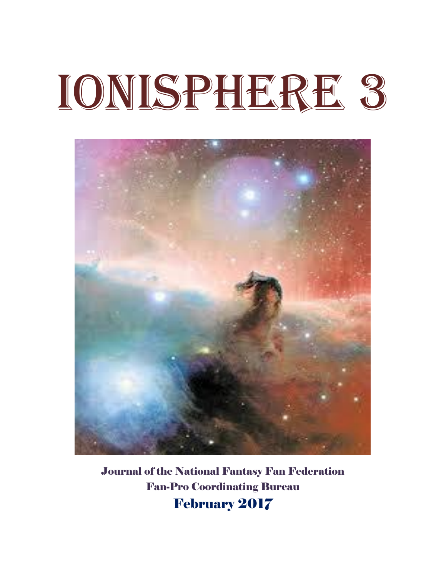# Ionisphere 3



Journal of the National Fantasy Fan Federation Fan-Pro Coordinating Bureau February 2017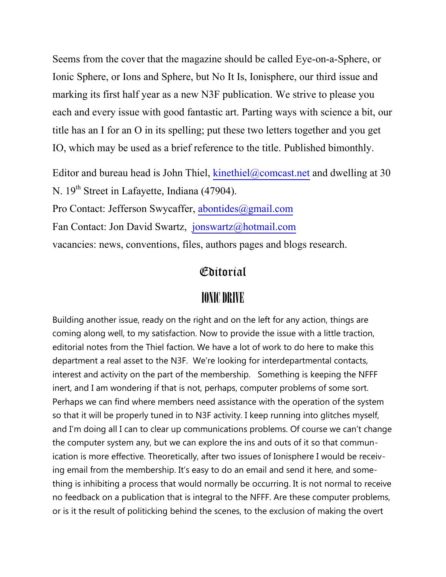Seems from the cover that the magazine should be called Eye-on-a-Sphere, or Ionic Sphere, or Ions and Sphere, but No It Is, Ionisphere, our third issue and marking its first half year as a new N3F publication. We strive to please you each and every issue with good fantastic art. Parting ways with science a bit, our title has an I for an O in its spelling; put these two letters together and you get IO, which may be used as a brief reference to the title. Published bimonthly.

Editor and bureau head is John Thiel,  $kinethiel@comcast.net$  and dwelling at 30 N. 19<sup>th</sup> Street in Lafayette, Indiana (47904).

Pro Contact: Jefferson Swycaffer, [abontides@gmail.com](mailto:abontides@gmail.com)

Fan Contact: Jon David Swartz, [jonswartz@hotmail.com](mailto:jonswartz@hotmail.com)

vacancies: news, conventions, files, authors pages and blogs research.

### Editorial

# IONIC DRIVE

Building another issue, ready on the right and on the left for any action, things are coming along well, to my satisfaction. Now to provide the issue with a little traction, editorial notes from the Thiel faction. We have a lot of work to do here to make this department a real asset to the N3F. We're looking for interdepartmental contacts, interest and activity on the part of the membership. Something is keeping the NFFF inert, and I am wondering if that is not, perhaps, computer problems of some sort. Perhaps we can find where members need assistance with the operation of the system so that it will be properly tuned in to N3F activity. I keep running into glitches myself, and I'm doing all I can to clear up communications problems. Of course we can't change the computer system any, but we can explore the ins and outs of it so that communication is more effective. Theoretically, after two issues of Ionisphere I would be receiving email from the membership. It's easy to do an email and send it here, and something is inhibiting a process that would normally be occurring. It is not normal to receive no feedback on a publication that is integral to the NFFF. Are these computer problems, or is it the result of politicking behind the scenes, to the exclusion of making the overt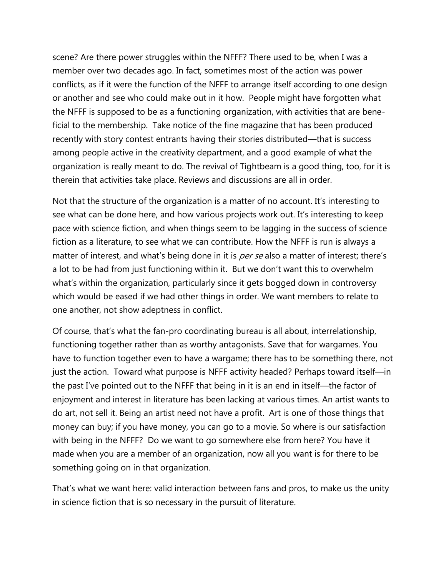scene? Are there power struggles within the NFFF? There used to be, when I was a member over two decades ago. In fact, sometimes most of the action was power conflicts, as if it were the function of the NFFF to arrange itself according to one design or another and see who could make out in it how. People might have forgotten what the NFFF is supposed to be as a functioning organization, with activities that are beneficial to the membership. Take notice of the fine magazine that has been produced recently with story contest entrants having their stories distributed—that is success among people active in the creativity department, and a good example of what the organization is really meant to do. The revival of Tightbeam is a good thing, too, for it is therein that activities take place. Reviews and discussions are all in order.

Not that the structure of the organization is a matter of no account. It's interesting to see what can be done here, and how various projects work out. It's interesting to keep pace with science fiction, and when things seem to be lagging in the success of science fiction as a literature, to see what we can contribute. How the NFFF is run is always a matter of interest, and what's being done in it is *per se* also a matter of interest; there's a lot to be had from just functioning within it. But we don't want this to overwhelm what's within the organization, particularly since it gets bogged down in controversy which would be eased if we had other things in order. We want members to relate to one another, not show adeptness in conflict.

Of course, that's what the fan-pro coordinating bureau is all about, interrelationship, functioning together rather than as worthy antagonists. Save that for wargames. You have to function together even to have a wargame; there has to be something there, not just the action. Toward what purpose is NFFF activity headed? Perhaps toward itself—in the past I've pointed out to the NFFF that being in it is an end in itself—the factor of enjoyment and interest in literature has been lacking at various times. An artist wants to do art, not sell it. Being an artist need not have a profit. Art is one of those things that money can buy; if you have money, you can go to a movie. So where is our satisfaction with being in the NFFF? Do we want to go somewhere else from here? You have it made when you are a member of an organization, now all you want is for there to be something going on in that organization.

That's what we want here: valid interaction between fans and pros, to make us the unity in science fiction that is so necessary in the pursuit of literature.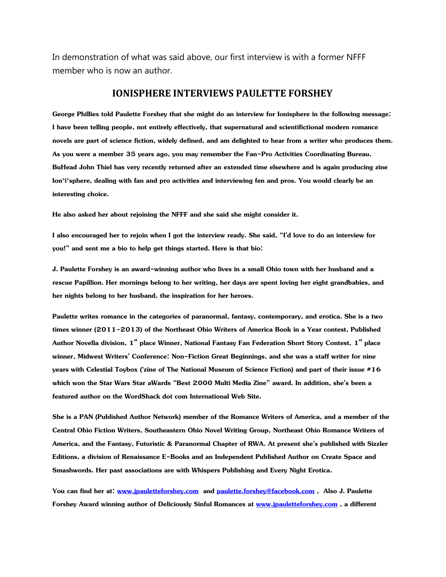In demonstration of what was said above, our first interview is with a former NFFF member who is now an author.

#### **IONISPHERE INTERVIEWS PAULETTE FORSHEY**

**George Phillies told Paulette Forshey that she might do an interview for Ionisphere in the following message: I have been telling people, not entirely effectively, that supernatural and scientifictional modern romance novels are part of science fiction, widely defined, and am delighted to hear from a writer who produces them. As you were a member 35 years ago, you may remember the Fan-Pro Activities Coordinating Bureau. BuHead John Thiel has very recently returned after an extended time elsewhere and is again producing zine Ion\*i\*sphere, dealing with fan and pro activities and interviewing fen and pros. You would clearly be an interesting choice.** 

**He also asked her about rejoining the NFFF and she said she might consider it.**

**I also encouraged her to rejoin when I got the interview ready. She said, "I'd love to do an interview for you!" and sent me a bio to help get things started. Here is that bio:**

**J. Paulette Forshey is an award-winning author who lives in a small Ohio town with her husband and a rescue Papillion. Her mornings belong to her writing, her days are spent loving her eight grandbabies, and her nights belong to her husband, the inspiration for her heroes.**

**Paulette writes romance in the categories of paranormal, fantasy, contemporary, and erotica. She is a two times winner (2011-2013) of the Northeast Ohio Writers of America Book in a Year contest, Published Author Novella division, 1st place Winner, National Fantasy Fan Federation Short Story Contest, 1st place winner, Midwest Writers' Conference: Non-Fiction Great Beginnings, and she was a staff writer for nine years with Celestial Toybox ('zine of The National Museum of Science Fiction) and part of their issue #16 which won the Star Wars Star aWards "Best 2000 Multi Media Zine" award. In addition, she's been a featured author on the WordShack dot com International Web Site.**

**She is a PAN (Published Author Network) member of the Romance Writers of America, and a member of the Central Ohio Fiction Writers, Southeastern Ohio Novel Writing Group, Northeast Ohio Romance Writers of America, and the Fantasy, Futuristic & Paranormal Chapter of RWA. At present she's published with Sizzler Editions, a division of Renaissance E-Books and an Independent Published Author on Create Space and Smashwords. Her past associations are with Whispers Publishing and Every Night Erotica.**

**You can find her at: [www.jpauletteforshey.com](http://www.jpauletteforshey.com/) and [paulette.forshey@facebook.com](mailto:paulette.forshey@facebook.com) , Also J. Paulette Forshey Award winning author of Deliciously Sinful Romances at [www.jpauletteforshey.com](http://www.jpauletteforshey.com/) , a different**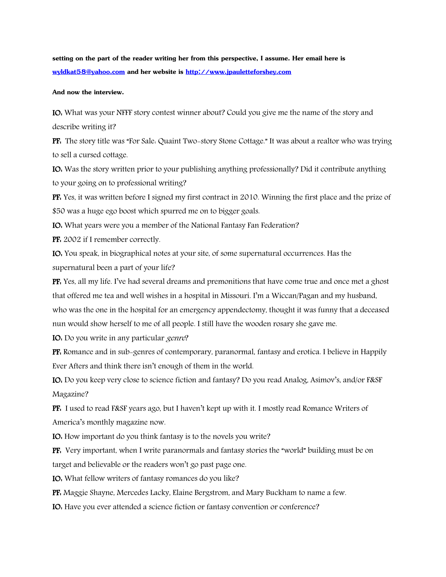**setting on the part of the reader writing her from this perspective, I assume. Her email here is [wyldkat58@yahoo.com](mailto:wyldkat58@yahoo.com) and her website is [http://www.jpauletteforshey.com](http://www.jpauletteforshey.com/)**

**And now the interview.**

IO: What was your NFFF story contest winner about? Could you give me the name of the story and describe writing it?

PF: The story title was "For Sale: Quaint Two-story Stone Cottage." It was about a realtor who was trying to sell a cursed cottage.

IO: Was the story written prior to your publishing anything professionally? Did it contribute anything to your going on to professional writing?

PF: Yes, it was written before I signed my first contract in 2010. Winning the first place and the prize of \$50 was a huge ego boost which spurred me on to bigger goals.

IO: What years were you a member of the National Fantasy Fan Federation?

PF: 2002 if I remember correctly.

IO: You speak, in biographical notes at your site, of some supernatural occurrences. Has the supernatural been a part of your life?

PF: Yes, all my life. I've had several dreams and premonitions that have come true and once met a ghost that offered me tea and well wishes in a hospital in Missouri. I'm a Wiccan/Pagan and my husband, who was the one in the hospital for an emergency appendectomy, thought it was funny that a deceased nun would show herself to me of all people. I still have the wooden rosary she gave me.

IO: Do you write in any particular genre?

PF: Romance and in sub-genres of contemporary, paranormal, fantasy and erotica. I believe in Happily Ever Afters and think there isn't enough of them in the world.

IO: Do you keep very close to science fiction and fantasy? Do you read Analog, Asimov's, and/or F&SF Magazine?

PF: I used to read F&SF years ago, but I haven't kept up with it. I mostly read Romance Writers of America's monthly magazine now.

IO: How important do you think fantasy is to the novels you write?

PF: Very important, when I write paranormals and fantasy stories the "world" building must be on target and believable or the readers won't go past page one.

IO: What fellow writers of fantasy romances do you like?

PF: Maggie Shayne, Mercedes Lacky, Elaine Bergstrom, and Mary Buckham to name a few.

IO: Have you ever attended a science fiction or fantasy convention or conference?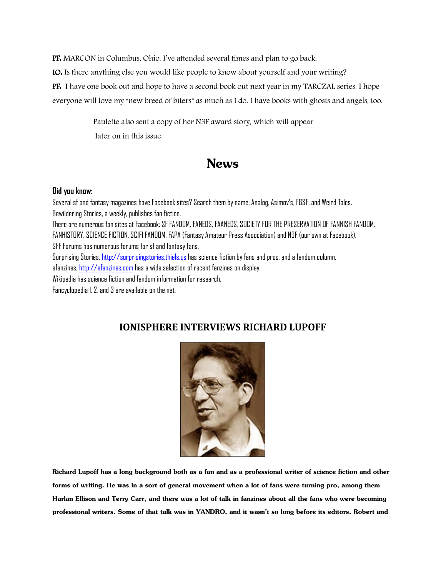PF: MARCON in Columbus, Ohio. I've attended several times and plan to go back.

IO: Is there anything else you would like people to know about yourself and your writing?

PF: I have one book out and hope to have a second book out next year in my TARCZAL series. I hope

everyone will love my "new breed of biters" as much as I do. I have books with ghosts and angels, too.

 Paulette also sent a copy of her N3F award story, which will appear later on in this issue.

## **News**

#### **Did you know:**

Several sf and fantasy magazines have Facebook sites? Search them by name: Analog, Asimov's, F&SF, and Weird Tales. Bewildering Stories, a weekly, publishes fan fiction. There are numerous fan sites at Facebook: SF FANDOM, FANEDS, FAANEDS, SOCIETY FOR THE PRESERVATION OF FANNISH FANDOM, FANHISTORY, SCIENCE FICTION, SCIFI FANDOM, FAPA (Fantasy Amateur Press Association) and N3F (our own at Facebook). SFF Forums has numerous forums for sf and fantasy fans. Surprising Stories[, http://surprisingstories.thiels.us](http://surprisingstories.thiels.us/) has science fiction by fans and pros, and a fandom column. efanzines[, http://efanzines.com](http://efanzines.com/) has a wide selection of recent fanzines on display. Wikipedia has science fiction and fandom information for research. Fancyclopedia 1, 2, and 3 are available on the net.

#### **IONISPHERE INTERVIEWS RICHARD LUPOFF**



**Richard Lupoff has a long background both as a fan and as a professional writer of science fiction and other forms of writing. He was in a sort of general movement when a lot of fans were turning pro, among them Harlan Ellison and Terry Carr, and there was a lot of talk in fanzines about all the fans who were becoming professional writers. Some of that talk was in YANDRO, and it wasn't so long before its editors, Robert and**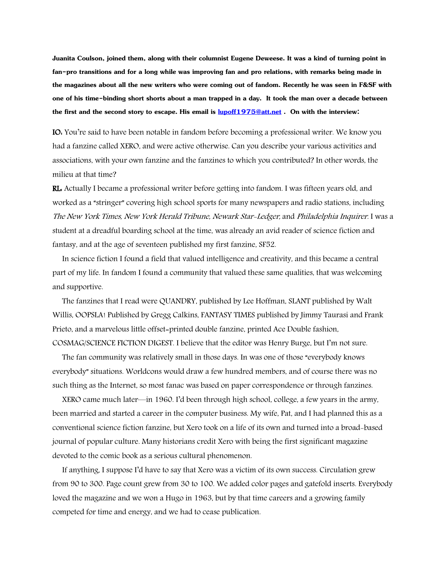**Juanita Coulson, joined them, along with their columnist Eugene Deweese. It was a kind of turning point in fan-pro transitions and for a long while was improving fan and pro relations, with remarks being made in the magazines about all the new writers who were coming out of fandom. Recently he was seen in F&SF with one of his time-binding short shorts about a man trapped in a day. It took the man over a decade between the first and the second story to escape. His email is [lupoff1975@att.net](mailto:lupoff1975@att.net) . On with the interview:**

IO: You're said to have been notable in fandom before becoming a professional writer. We know you had a fanzine called XERO, and were active otherwise. Can you describe your various activities and associations, with your own fanzine and the fanzines to which you contributed? In other words, the milieu at that time?

RL: Actually I became a professional writer before getting into fandom. I was fifteen years old, and worked as a "stringer" covering high school sports for many newspapers and radio stations, including The New York Times, New York Herald Tribune, Newark Star-Ledger, and Philadelphia Inquirer. I was a student at a dreadful boarding school at the time, was already an avid reader of science fiction and fantasy, and at the age of seventeen published my first fanzine, SF52.

 In science fiction I found a field that valued intelligence and creativity, and this became a central part of my life. In fandom I found a community that valued these same qualities, that was welcoming and supportive.

 The fanzines that I read were QUANDRY, published by Lee Hoffman, SLANT published by Walt Willis, OOPSLA! Published by Gregg Calkins, FANTASY TIMES published by Jimmy Taurasi and Frank Prieto, and a marvelous little offset=printed double fanzine, printed Ace Double fashion, COSMAG/SCIENCE FICTION DIGEST. I believe that the editor was Henry Burge, but I'm not sure.

 The fan community was relatively small in those days. In was one of those "everybody knows everybody" situations. Worldcons would draw a few hundred members, and of course there was no such thing as the Internet, so most fanac was based on paper correspondence or through fanzines.

 XERO came much later—in 1960. I'd been through high school, college, a few years in the army, been married and started a career in the computer business. My wife, Pat, and I had planned this as a conventional science fiction fanzine, but Xero took on a life of its own and turned into a broad-based journal of popular culture. Many historians credit Xero with being the first significant magazine devoted to the comic book as a serious cultural phenomenon.

 If anything, I suppose I'd have to say that Xero was a victim of its own success. Circulation grew from 90 to 300. Page count grew from 30 to 100. We added color pages and gatefold inserts. Everybody loved the magazine and we won a Hugo in 1963, but by that time careers and a growing family competed for time and energy, and we had to cease publication.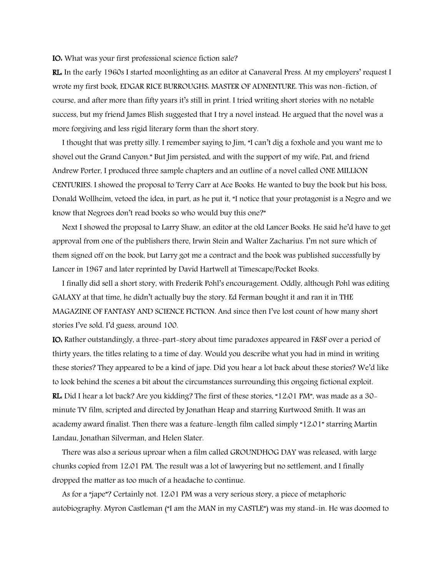IO: What was your first professional science fiction sale?

RL: In the early 1960s I started moonlighting as an editor at Canaveral Press. At my employers' request I wrote my first book, EDGAR RICE BURROUGHS: MASTER OF ADNENTURE. This was non-fiction, of course, and after more than fifty years it's still in print. I tried writing short stories with no notable success, but my friend James Blish suggested that I try a novel instead. He argued that the novel was a more forgiving and less rigid literary form than the short story.

 I thought that was pretty silly. I remember saying to Jim, "I can't dig a foxhole and you want me to shovel out the Grand Canyon." But Jim persisted, and with the support of my wife, Pat, and friend Andrew Porter, I produced three sample chapters and an outline of a novel called ONE MILLION CENTURIES. I showed the proposal to Terry Carr at Ace Books. He wanted to buy the book but his boss, Donald Wollheim, vetoed the idea, in part, as he put it, "I notice that your protagonist is a Negro and we know that Negroes don't read books so who would buy this one?"

 Next I showed the proposal to Larry Shaw, an editor at the old Lancer Books. He said he'd have to get approval from one of the publishers there, Irwin Stein and Walter Zacharius. I'm not sure which of them signed off on the book, but Larry got me a contract and the book was published successfully by Lancer in 1967 and later reprinted by David Hartwell at Timescape/Pocket Books.

 I finally did sell a short story, with Frederik Pohl's encouragement. Oddly, although Pohl was editing GALAXY at that time, he didn't actually buy the story. Ed Ferman bought it and ran it in THE MAGAZINE OF FANTASY AND SCIENCE FICTION. And since then I've lost count of how many short stories I've sold. I'd guess, around 100.

IO: Rather outstandingly, a three-part-story about time paradoxes appeared in F&SF over a period of thirty years, the titles relating to a time of day. Would you describe what you had in mind in writing these stories? They appeared to be a kind of jape. Did you hear a lot back about these stories? We'd like to look behind the scenes a bit about the circumstances surrounding this ongoing fictional exploit. RL: Did I hear a lot back? Are you kidding? The first of these stories, "12:01 PM", was made as a 30 minute TV film, scripted and directed by Jonathan Heap and starring Kurtwood Smith. It was an academy award finalist. Then there was a feature-length film called simply "12:01" starring Martin Landau, Jonathan Silverman, and Helen Slater.

 There was also a serious uproar when a film called GROUNDHOG DAY was released, with large chunks copied from 12:01 PM. The result was a lot of lawyering but no settlement, and I finally dropped the matter as too much of a headache to continue.

 As for a "jape"? Certainly not. 12:01 PM was a very serious story, a piece of metaphoric autobiography. Myron Castleman ("I am the MAN in my CASTLE") was my stand-in. He was doomed to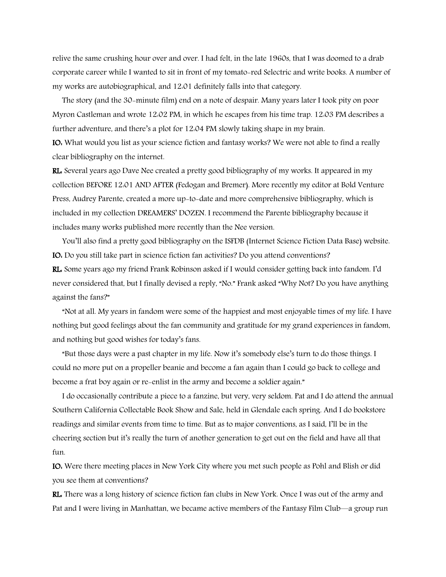relive the same crushing hour over and over. I had felt, in the late 1960s, that I was doomed to a drab corporate career while I wanted to sit in front of my tomato-red Selectric and write books. A number of my works are autobiographical, and 12:01 definitely falls into that category.

 The story (and the 30-minute film) end on a note of despair. Many years later I took pity on poor Myron Castleman and wrote 12:02 PM, in which he escapes from his time trap. 12:03 PM describes a further adventure, and there's a plot for 12:04 PM slowly taking shape in my brain.

IO: What would you list as your science fiction and fantasy works? We were not able to find a really clear bibliography on the internet.

RL: Several years ago Dave Nee created a pretty good bibliography of my works. It appeared in my collection BEFORE 12:01 AND AFTER (Fedogan and Bremer). More recently my editor at Bold Venture Press, Audrey Parente, created a more up-to-date and more comprehensive bibliography, which is included in my collection DREAMERS' DOZEN. I recommend the Parente bibliography because it includes many works published more recently than the Nee version.

 You'll also find a pretty good bibliography on the ISFDB (Internet Science Fiction Data Base) website. IO: Do you still take part in science fiction fan activities? Do you attend conventions?

RL: Some years ago my friend Frank Robinson asked if I would consider getting back into fandom. I'd never considered that, but I finally devised a reply, "No." Frank asked "Why Not? Do you have anything against the fans?"

 "Not at all. My years in fandom were some of the happiest and most enjoyable times of my life. I have nothing but good feelings about the fan community and gratitude for my grand experiences in fandom, and nothing but good wishes for today's fans.

 "But those days were a past chapter in my life. Now it's somebody else's turn to do those things. I could no more put on a propeller beanie and become a fan again than I could go back to college and become a frat boy again or re-enlist in the army and become a soldier again."

 I do occasionally contribute a piece to a fanzine, but very, very seldom. Pat and I do attend the annual Southern California Collectable Book Show and Sale, held in Glendale each spring. And I do bookstore readings and similar events from time to time. But as to major conventions, as I said, I'll be in the cheering section but it's really the turn of another generation to get out on the field and have all that fun.

IO: Were there meeting places in New York City where you met such people as Pohl and Blish or did you see them at conventions?

RL: There was a long history of science fiction fan clubs in New York. Once I was out of the army and Pat and I were living in Manhattan, we became active members of the Fantasy Film Club—a group run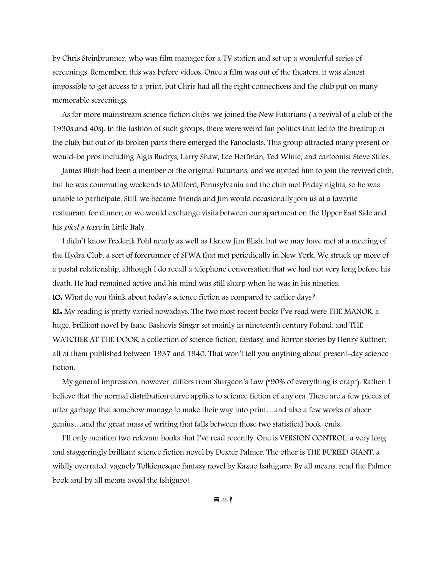by Chris Steinbrunner, who was film manager for a TV station and set up a wonderful series of screenings. Remember, this was before videos. Once a film was out of the theaters, it was almost impossible to get access to a print, but Chris had all the right connections and the club put on many memorable screenings.

 As for more mainstream science fiction clubs, we joined the New Futurians ( a revival of a club of the 1930s and 40s). In the fashion of such groups, there were weird fan politics that led to the breakup of the club, but out of its broken parts there emerged the Fanoclasts. This group attracted many present or would-be pros including Algis Budrys, Larry Shaw, Lee Hoffman, Ted White, and cartoonist Steve Stiles.

 James Blish had been a member of the original Futurians, and we invited him to join the revived club, but he was commuting weekends to Milford, Pennsylvania and the club met Friday nights, so he was unable to participate. Still, we became friends and Jim would occasionally join us at a favorite restaurant for dinner, or we would exchange visits between our apartment on the Upper East Side and his *pied a terre* in Little Italy.

 I didn't know Frederik Pohl nearly as well as I knew Jim Blish, but we may have met at a meeting of the Hydra Club, a sort of forerunner of SFWA that met periodically in New York. We struck up more of a postal relationship, although I do recall a telephone conversation that we had not very long before his death. He had remained active and his mind was still sharp when he was in his nineties. IO: What do you think about today's science fiction as compared to earlier days? RL: My reading is pretty varied nowadays. The two most recent books I've read were THE MANOR, a huge, brilliant novel by Isaac Bashevis Singer set mainly in nineteenth century Poland, and THE WATCHER AT THE DOOR, a collection of science fiction, fantasy, and horror stories by Henry Kuttner, all of them published between 1937 and 1940. That won't tell you anything about present-day science fiction.

 My general impression, however, differs from Sturgeon's Law ("90% of everything is crap"). Rather, I believe that the normal distribution curve applies to science fiction of any era. There are a few pieces of utter garbage that somehow manage to make their way into print…and also a few works of sheer genius…and the great mass of writing that falls between those two statistical book-ends.

 I'll only mention two relevant books that I've read recently. One is VERSION CONTROL, a very long and staggeringly brilliant science fiction novel by Dexter Palmer. The other is THE BURIED GIANT, a wildly overrated, vaguely Tolkienesque fantasy novel by Kazuo Isahiguro. By all means, read the Palmer book and by all means avoid the Ishiguro!

⊞ ॐ !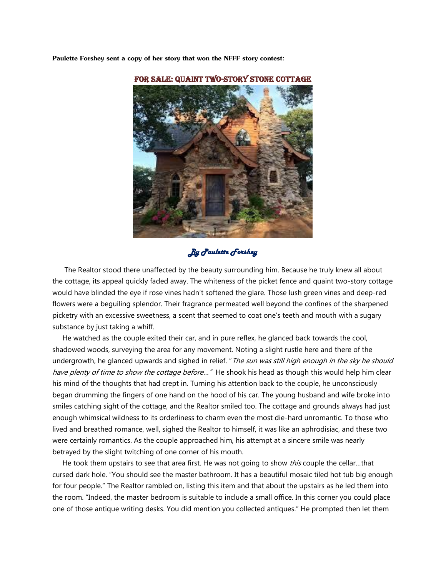**Paulette Forshey sent a copy of her story that won the NFFF story contest:**



For sale: Quaint Two-story stone cottage

#### *By Paulette Forshey*

 The Realtor stood there unaffected by the beauty surrounding him. Because he truly knew all about the cottage, its appeal quickly faded away. The whiteness of the picket fence and quaint two-story cottage would have blinded the eye if rose vines hadn't softened the glare. Those lush green vines and deep-red flowers were a beguiling splendor. Their fragrance permeated well beyond the confines of the sharpened picketry with an excessive sweetness, a scent that seemed to coat one's teeth and mouth with a sugary substance by just taking a whiff.

 He watched as the couple exited their car, and in pure reflex, he glanced back towards the cool, shadowed woods, surveying the area for any movement. Noting a slight rustle here and there of the undergrowth, he glanced upwards and sighed in relief. " The sun was still high enough in the sky he should have plenty of time to show the cottage before..." He shook his head as though this would help him clear his mind of the thoughts that had crept in. Turning his attention back to the couple, he unconsciously began drumming the fingers of one hand on the hood of his car. The young husband and wife broke into smiles catching sight of the cottage, and the Realtor smiled too. The cottage and grounds always had just enough whimsical wildness to its orderliness to charm even the most die-hard unromantic. To those who lived and breathed romance, well, sighed the Realtor to himself, it was like an aphrodisiac, and these two were certainly romantics. As the couple approached him, his attempt at a sincere smile was nearly betrayed by the slight twitching of one corner of his mouth.

He took them upstairs to see that area first. He was not going to show this couple the cellar...that cursed dark hole. "You should see the master bathroom. It has a beautiful mosaic tiled hot tub big enough for four people." The Realtor rambled on, listing this item and that about the upstairs as he led them into the room. "Indeed, the master bedroom is suitable to include a small office. In this corner you could place one of those antique writing desks. You did mention you collected antiques." He prompted then let them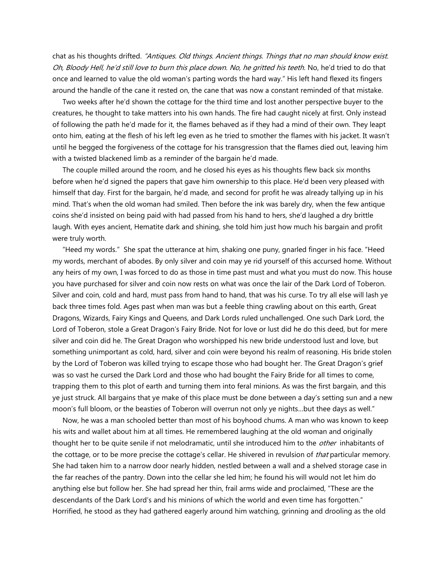chat as his thoughts drifted. "Antiques. Old things. Ancient things. Things that no man should know exist. Oh, Bloody Hell, he'd still love to burn this place down. No, he gritted his teeth. No, he'd tried to do that once and learned to value the old woman's parting words the hard way." His left hand flexed its fingers around the handle of the cane it rested on, the cane that was now a constant reminded of that mistake.

 Two weeks after he'd shown the cottage for the third time and lost another perspective buyer to the creatures, he thought to take matters into his own hands. The fire had caught nicely at first. Only instead of following the path he'd made for it, the flames behaved as if they had a mind of their own. They leapt onto him, eating at the flesh of his left leg even as he tried to smother the flames with his jacket. It wasn't until he begged the forgiveness of the cottage for his transgression that the flames died out, leaving him with a twisted blackened limb as a reminder of the bargain he'd made.

 The couple milled around the room, and he closed his eyes as his thoughts flew back six months before when he'd signed the papers that gave him ownership to this place. He'd been very pleased with himself that day. First for the bargain, he'd made, and second for profit he was already tallying up in his mind. That's when the old woman had smiled. Then before the ink was barely dry, when the few antique coins she'd insisted on being paid with had passed from his hand to hers, she'd laughed a dry brittle laugh. With eyes ancient, Hematite dark and shining, she told him just how much his bargain and profit were truly worth.

 "Heed my words." She spat the utterance at him, shaking one puny, gnarled finger in his face. "Heed my words, merchant of abodes. By only silver and coin may ye rid yourself of this accursed home. Without any heirs of my own, I was forced to do as those in time past must and what you must do now. This house you have purchased for silver and coin now rests on what was once the lair of the Dark Lord of Toberon. Silver and coin, cold and hard, must pass from hand to hand, that was his curse. To try all else will lash ye back three times fold. Ages past when man was but a feeble thing crawling about on this earth, Great Dragons, Wizards, Fairy Kings and Queens, and Dark Lords ruled unchallenged. One such Dark Lord, the Lord of Toberon, stole a Great Dragon's Fairy Bride. Not for love or lust did he do this deed, but for mere silver and coin did he. The Great Dragon who worshipped his new bride understood lust and love, but something unimportant as cold, hard, silver and coin were beyond his realm of reasoning. His bride stolen by the Lord of Toberon was killed trying to escape those who had bought her. The Great Dragon's grief was so vast he cursed the Dark Lord and those who had bought the Fairy Bride for all times to come, trapping them to this plot of earth and turning them into feral minions. As was the first bargain, and this ye just struck. All bargains that ye make of this place must be done between a day's setting sun and a new moon's full bloom, or the beasties of Toberon will overrun not only ye nights…but thee days as well."

 Now, he was a man schooled better than most of his boyhood chums. A man who was known to keep his wits and wallet about him at all times. He remembered laughing at the old woman and originally thought her to be quite senile if not melodramatic, until she introduced him to the *other* inhabitants of the cottage, or to be more precise the cottage's cellar. He shivered in revulsion of *that* particular memory. She had taken him to a narrow door nearly hidden, nestled between a wall and a shelved storage case in the far reaches of the pantry. Down into the cellar she led him; he found his will would not let him do anything else but follow her. She had spread her thin, frail arms wide and proclaimed, "These are the descendants of the Dark Lord's and his minions of which the world and even time has forgotten." Horrified, he stood as they had gathered eagerly around him watching, grinning and drooling as the old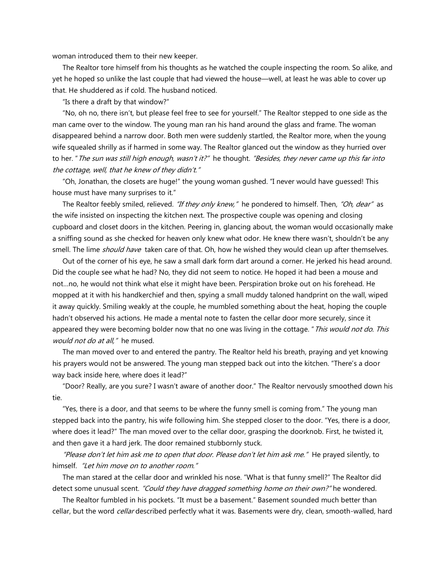woman introduced them to their new keeper.

 The Realtor tore himself from his thoughts as he watched the couple inspecting the room. So alike, and yet he hoped so unlike the last couple that had viewed the house—well, at least he was able to cover up that. He shuddered as if cold. The husband noticed.

"Is there a draft by that window?"

 "No, oh no, there isn't, but please feel free to see for yourself." The Realtor stepped to one side as the man came over to the window. The young man ran his hand around the glass and frame. The woman disappeared behind a narrow door. Both men were suddenly startled, the Realtor more, when the young wife squealed shrilly as if harmed in some way. The Realtor glanced out the window as they hurried over to her. "The sun was still high enough, wasn't it?" he thought. "Besides, they never came up this far into the cottage, well, that he knew of they didn't."

 "Oh, Jonathan, the closets are huge!" the young woman gushed. "I never would have guessed! This house must have many surprises to it."

The Realtor feebly smiled, relieved. "If they only knew," he pondered to himself. Then, "Oh, dear" as the wife insisted on inspecting the kitchen next. The prospective couple was opening and closing cupboard and closet doors in the kitchen. Peering in, glancing about, the woman would occasionally make a sniffing sound as she checked for heaven only knew what odor. He knew there wasn't, shouldn't be any smell. The lime *should have* taken care of that. Oh, how he wished they would clean up after themselves.

 Out of the corner of his eye, he saw a small dark form dart around a corner. He jerked his head around. Did the couple see what he had? No, they did not seem to notice. He hoped it had been a mouse and not…no, he would not think what else it might have been. Perspiration broke out on his forehead. He mopped at it with his handkerchief and then, spying a small muddy taloned handprint on the wall, wiped it away quickly. Smiling weakly at the couple, he mumbled something about the heat, hoping the couple hadn't observed his actions. He made a mental note to fasten the cellar door more securely, since it appeared they were becoming bolder now that no one was living in the cottage. "This would not do. This would not do at all," he mused.

 The man moved over to and entered the pantry. The Realtor held his breath, praying and yet knowing his prayers would not be answered. The young man stepped back out into the kitchen. "There's a door way back inside here, where does it lead?"

 "Door? Really, are you sure? I wasn't aware of another door." The Realtor nervously smoothed down his tie.

 "Yes, there is a door, and that seems to be where the funny smell is coming from." The young man stepped back into the pantry, his wife following him. She stepped closer to the door. "Yes, there is a door, where does it lead?" The man moved over to the cellar door, grasping the doorknob. First, he twisted it, and then gave it a hard jerk. The door remained stubbornly stuck.

"Please don't let him ask me to open that door. Please don't let him ask me." He prayed silently, to himself. "Let him move on to another room."

 The man stared at the cellar door and wrinkled his nose. "What is that funny smell?" The Realtor did detect some unusual scent. "Could they have dragged something home on their own?" he wondered.

 The Realtor fumbled in his pockets. "It must be a basement." Basement sounded much better than cellar, but the word *cellar* described perfectly what it was. Basements were dry, clean, smooth-walled, hard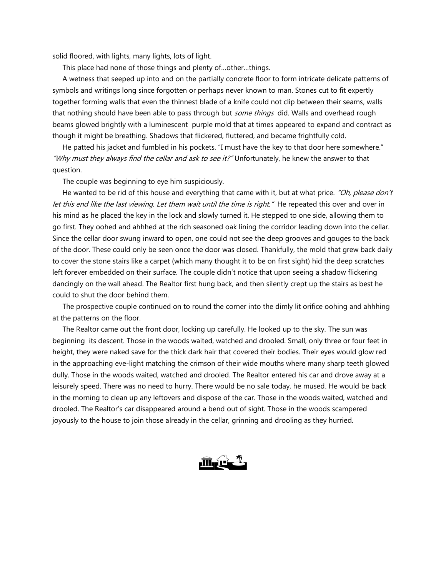solid floored, with lights, many lights, lots of light.

This place had none of those things and plenty of…other…things.

 A wetness that seeped up into and on the partially concrete floor to form intricate delicate patterns of symbols and writings long since forgotten or perhaps never known to man. Stones cut to fit expertly together forming walls that even the thinnest blade of a knife could not clip between their seams, walls that nothing should have been able to pass through but some things did. Walls and overhead rough beams glowed brightly with a luminescent purple mold that at times appeared to expand and contract as though it might be breathing. Shadows that flickered, fluttered, and became frightfully cold.

 He patted his jacket and fumbled in his pockets. "I must have the key to that door here somewhere." "Why must they always find the cellar and ask to see it?" Unfortunately, he knew the answer to that question.

The couple was beginning to eye him suspiciously.

He wanted to be rid of this house and everything that came with it, but at what price. "Oh, please don't let this end like the last viewing. Let them wait until the time is right." He repeated this over and over in his mind as he placed the key in the lock and slowly turned it. He stepped to one side, allowing them to go first. They oohed and ahhhed at the rich seasoned oak lining the corridor leading down into the cellar. Since the cellar door swung inward to open, one could not see the deep grooves and gouges to the back of the door. These could only be seen once the door was closed. Thankfully, the mold that grew back daily to cover the stone stairs like a carpet (which many thought it to be on first sight) hid the deep scratches left forever embedded on their surface. The couple didn't notice that upon seeing a shadow flickering dancingly on the wall ahead. The Realtor first hung back, and then silently crept up the stairs as best he could to shut the door behind them.

 The prospective couple continued on to round the corner into the dimly lit orifice oohing and ahhhing at the patterns on the floor.

 The Realtor came out the front door, locking up carefully. He looked up to the sky. The sun was beginning its descent. Those in the woods waited, watched and drooled. Small, only three or four feet in height, they were naked save for the thick dark hair that covered their bodies. Their eyes would glow red in the approaching eve-light matching the crimson of their wide mouths where many sharp teeth glowed dully. Those in the woods waited, watched and drooled. The Realtor entered his car and drove away at a leisurely speed. There was no need to hurry. There would be no sale today, he mused. He would be back in the morning to clean up any leftovers and dispose of the car. Those in the woods waited, watched and drooled. The Realtor's car disappeared around a bend out of sight. Those in the woods scampered joyously to the house to join those already in the cellar, grinning and drooling as they hurried.

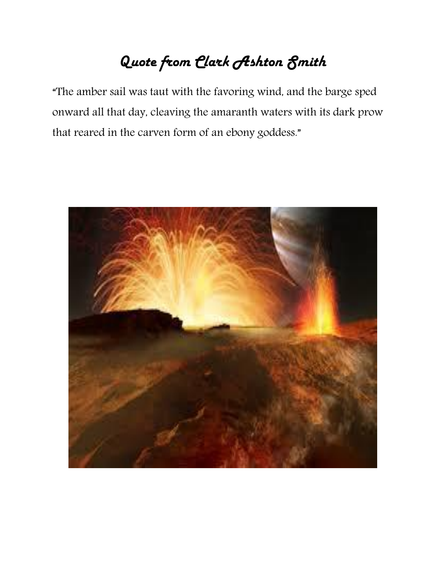# *Quote from Clark Ashton Smith*

"The amber sail was taut with the favoring wind, and the barge sped onward all that day, cleaving the amaranth waters with its dark prow that reared in the carven form of an ebony goddess."